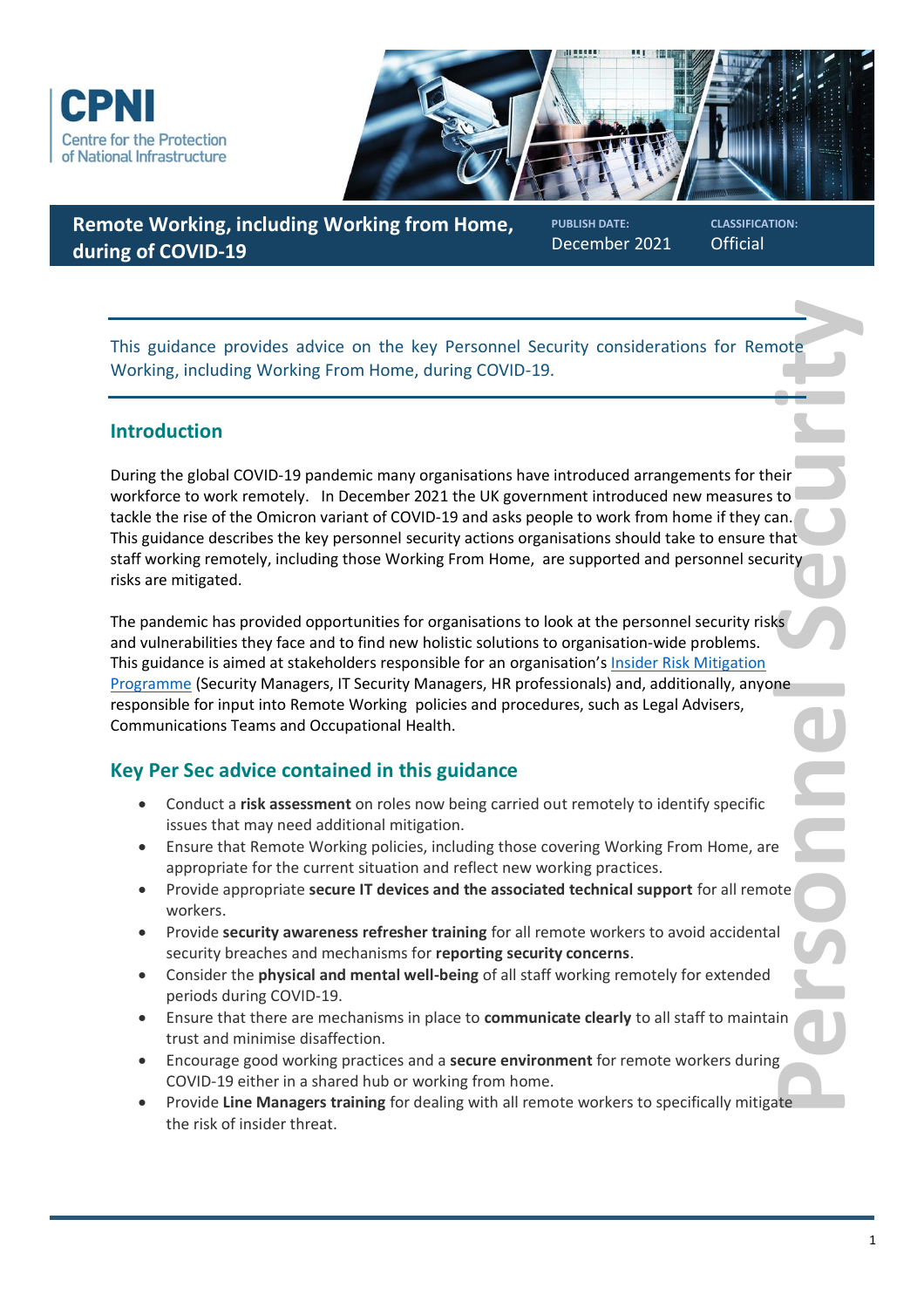



## **Remote Working, including Working from Home, during of COVID-19**

**PUBLISH DATE:** December 2021 **CLASSIFICATION: Official** 

This guidance provides advice on the key Personnel Security considerations for Remote Working, including Working From Home, during COVID-19.

### **Introduction**

**Protecte**<br> **Personnel and Adduct Container and Container and Container and Container and Container and Container and Container and Security<br>
Beat and Container and Container and Container and Container and Container and C** During the global COVID-19 pandemic many organisations have introduced arrangements for their workforce to work remotely. In December 2021 the UK government introduced new measures to tackle the rise of the Omicron variant of COVID-19 and asks people to work from home if they can. This guidance describes the key personnel security actions organisations should take to ensure that staff working remotely, including those Working From Home, are supported and personnel security risks are mitigated.

The pandemic has provided opportunities for organisations to look at the personnel security risks and vulnerabilities they face and to find new holistic solutions to organisation-wide problems. This guidance is aimed at stakeholders responsible for an organisation's Insider Risk Mitigation [Programme](https://www.cpni.gov.uk/insider-risks/2-insider-threat-practitioners-stakeholders) (Security Managers, IT Security Managers, HR professionals) and, additionally, anyone responsible for input into Remote Working policies and procedures, such as Legal Advisers, Communications Teams and Occupational Health.

# **Key Per Sec advice contained in this guidance**

- Conduct a **risk assessment** on roles now being carried out remotely to identify specific issues that may need additional mitigation.
- Ensure that Remote Working policies, including those covering Working From Home, are appropriate for the current situation and reflect new working practices.
- Provide appropriate **secure IT devices and the associated technical support** for all remote workers.
- Provide **security awareness refresher training** for all remote workers to avoid accidental security breaches and mechanisms for **reporting security concerns**.
- Consider the **physical and mental well-being** of all staff working remotely for extended periods during COVID-19.
- Ensure that there are mechanisms in place to **communicate clearly** to all staff to maintain trust and minimise disaffection.
- Encourage good working practices and a **secure environment** for remote workers during COVID-19 either in a shared hub or working from home.
- Provide **Line Managers training** for dealing with all remote workers to specifically mitigate the risk of insider threat.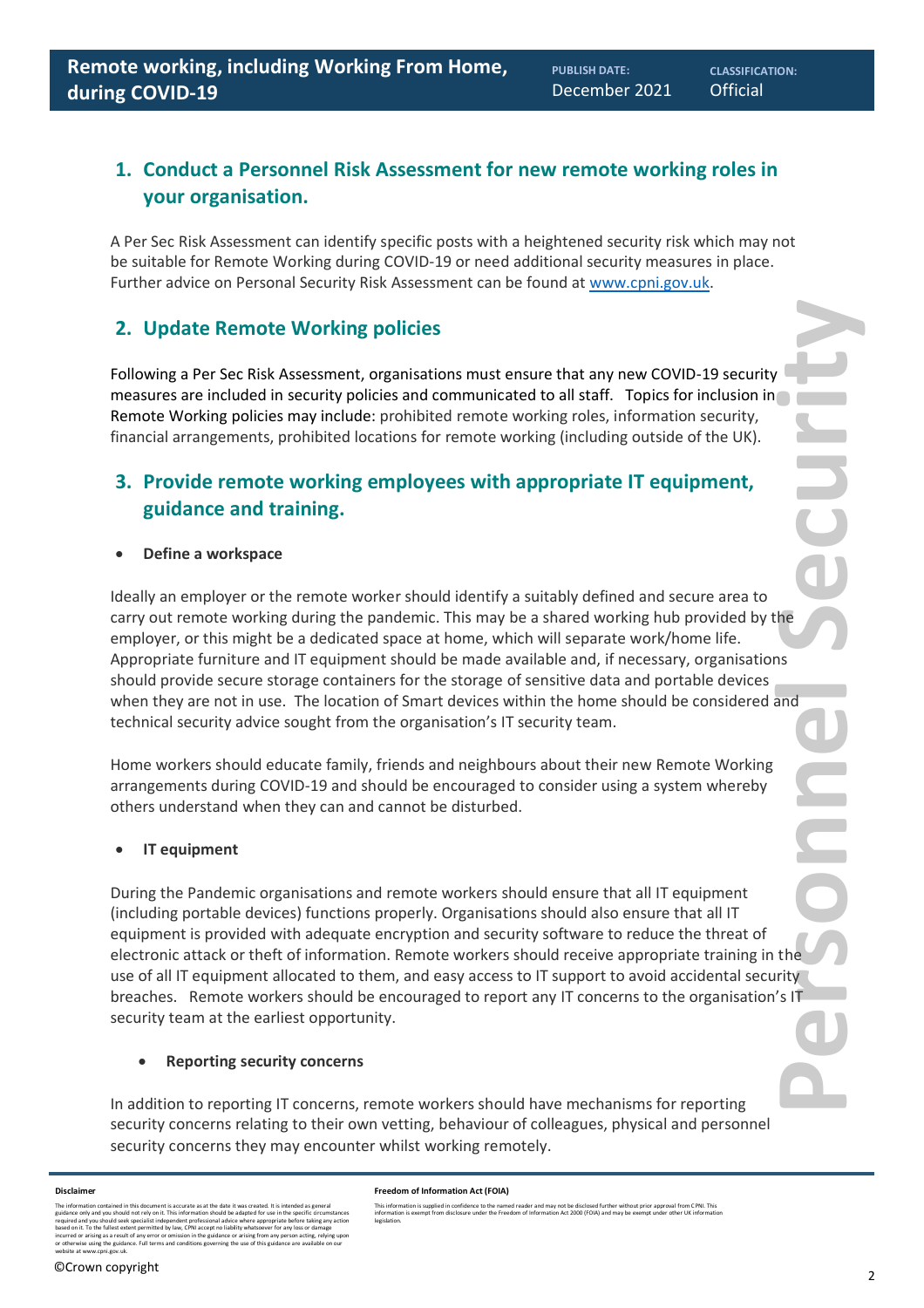## **1. Conduct a Personnel Risk Assessment for new remote working roles in your organisation.**

A Per Sec Risk Assessment can identify specific posts with a heightened security risk which may not be suitable for Remote Working during COVID-19 or need additional security measures in place. Further advice on Personal Security Risk Assessment can be found a[t www.cpni.gov.uk.](http://www.cpni.gov.uk/)

## **2. Update Remote Working policies**

Following a Per Sec Risk Assessment, organisations must ensure that any new COVID-19 security measures are included in security policies and communicated to all staff. Topics for inclusion in Remote Working policies may include: prohibited remote working roles, information security, financial arrangements, prohibited locations for remote working (including outside of the UK).

## **3. Provide remote working employees with appropriate IT equipment, guidance and training.**

• **Define a workspace** 

Ideally an employer or the remote worker should identify a suitably defined and secure area to carry out remote working during the pandemic. This may be a shared working hub provided by the employer, or this might be a dedicated space at home, which will separate work/home life. Appropriate furniture and IT equipment should be made available and, if necessary, organisations should provide secure storage containers for the storage of sensitive data and portable devices when they are not in use. The location of Smart devices within the home should be considered and technical security advice sought from the organisation's IT security team.

Home workers should educate family, friends and neighbours about their new Remote Working arrangements during COVID-19 and should be encouraged to consider using a system whereby others understand when they can and cannot be disturbed.

### • **IT equipment**

**PERSONNEL EXPRESSED CONTRIVERS** During the Pandemic organisations and remote workers should ensure that all IT equipment (including portable devices) functions properly. Organisations should also ensure that all IT equipment is provided with adequate encryption and security software to reduce the threat of electronic attack or theft of information. Remote workers should receive appropriate training in the use of all IT equipment allocated to them, and easy access to IT support to avoid accidental security breaches. Remote workers should be encouraged to report any IT concerns to the organisation's IT security team at the earliest opportunity.

### • **Reporting security concerns**

In addition to reporting IT concerns, remote workers should have mechanisms for reporting security concerns relating to their own vetting, behaviour of colleagues, physical and personnel security concerns they may encounter whilst working remotely.

#### **Disclaimer**

The information contained in this document is accurate as at the date it was created. It is intended as general<br>guidance only and you should not rely on it. This information should be adapted for use in the specific circum incurred or arising as a result of any error or omission in the guidance or arising from any person acting, relying upon<br>or otherwise using the guidance. Full terms and conditions governing the use of this guidance are ava **Freedom of Information Act (FOIA)** 

This information is supplied in confidence to the named reader and may not be disclosed further without prior approval from CPNI. This<br>information is exempt from disclosure under the Freedom of Information Act 2000 (FOIA)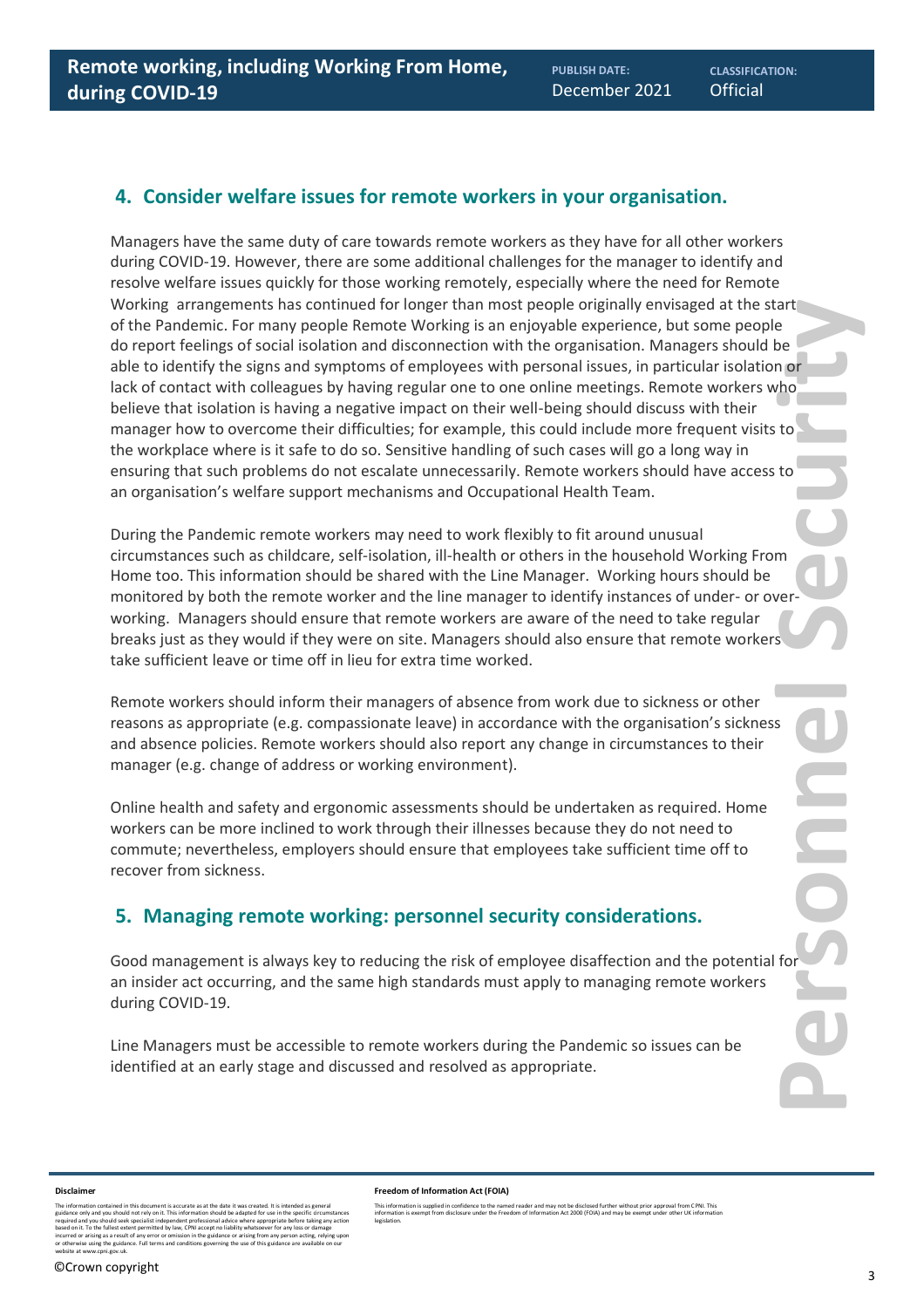### **4. Consider welfare issues for remote workers in your organisation.**

Managers have the same duty of care towards remote workers as they have for all other workers during COVID-19. However, there are some additional challenges for the manager to identify and resolve welfare issues quickly for those working remotely, especially where the need for Remote Working arrangements has continued for longer than most people originally envisaged at the start of the Pandemic. For many people Remote Working is an enjoyable experience, but some people do report feelings of social isolation and disconnection with the organisation. Managers should be able to identify the signs and symptoms of employees with personal issues, in particular isolation or lack of contact with colleagues by having regular one to one online meetings. Remote workers who believe that isolation is having a negative impact on their well-being should discuss with their manager how to overcome their difficulties; for example, this could include more frequent visits to the workplace where is it safe to do so. Sensitive handling of such cases will go a long way in ensuring that such problems do not escalate unnecessarily. Remote workers should have access to an organisation's welfare support mechanisms and Occupational Health Team.

During the Pandemic remote workers may need to work flexibly to fit around unusual circumstances such as childcare, self-isolation, ill-health or others in the household Working From Home too. This information should be shared with the Line Manager. Working hours should be monitored by both the remote worker and the line manager to identify instances of under- or overworking. Managers should ensure that remote workers are aware of the need to take regular breaks just as they would if they were on site. Managers should also ensure that remote workers take sufficient leave or time off in lieu for extra time worked.

Remote workers should inform their managers of absence from work due to sickness or other reasons as appropriate (e.g. compassionate leave) in accordance with the organisation's sickness and absence policies. Remote workers should also report any change in circumstances to their manager (e.g. change of address or working environment).

Online health and safety and ergonomic assessments should be undertaken as required. Home workers can be more inclined to work through their illnesses because they do not need to commute; nevertheless, employers should ensure that employees take sufficient time off to recover from sickness.

## **5. Managing remote working: personnel security considerations.**

Good management is always key to reducing the risk of employee disaffection and the potential for an insider act occurring, and the same high standards must apply to managing remote workers during COVID-19.

Line Managers must be accessible to remote workers during the Pandemic so issues can be identified at an early stage and discussed and resolved as appropriate.

#### **Disclaimer**

The information contained in this document is accurate as at the date it was created. It is intended as general<br>guidance only and you should not rely on it. This information should be adapted for use in the specific circum incurred or arising as a result of any error or omission in the guidance or arising from any person acting, relying upon<br>or otherwise using the guidance. Full terms and conditions governing the use of this guidance are ava

legislation.

This information is supplied in confidence to the named reader and may not be disclosed further without prior approval from CPNI. This<br>information is exempt from disclosure under the Freedom of Information Act 2000 (FOIA)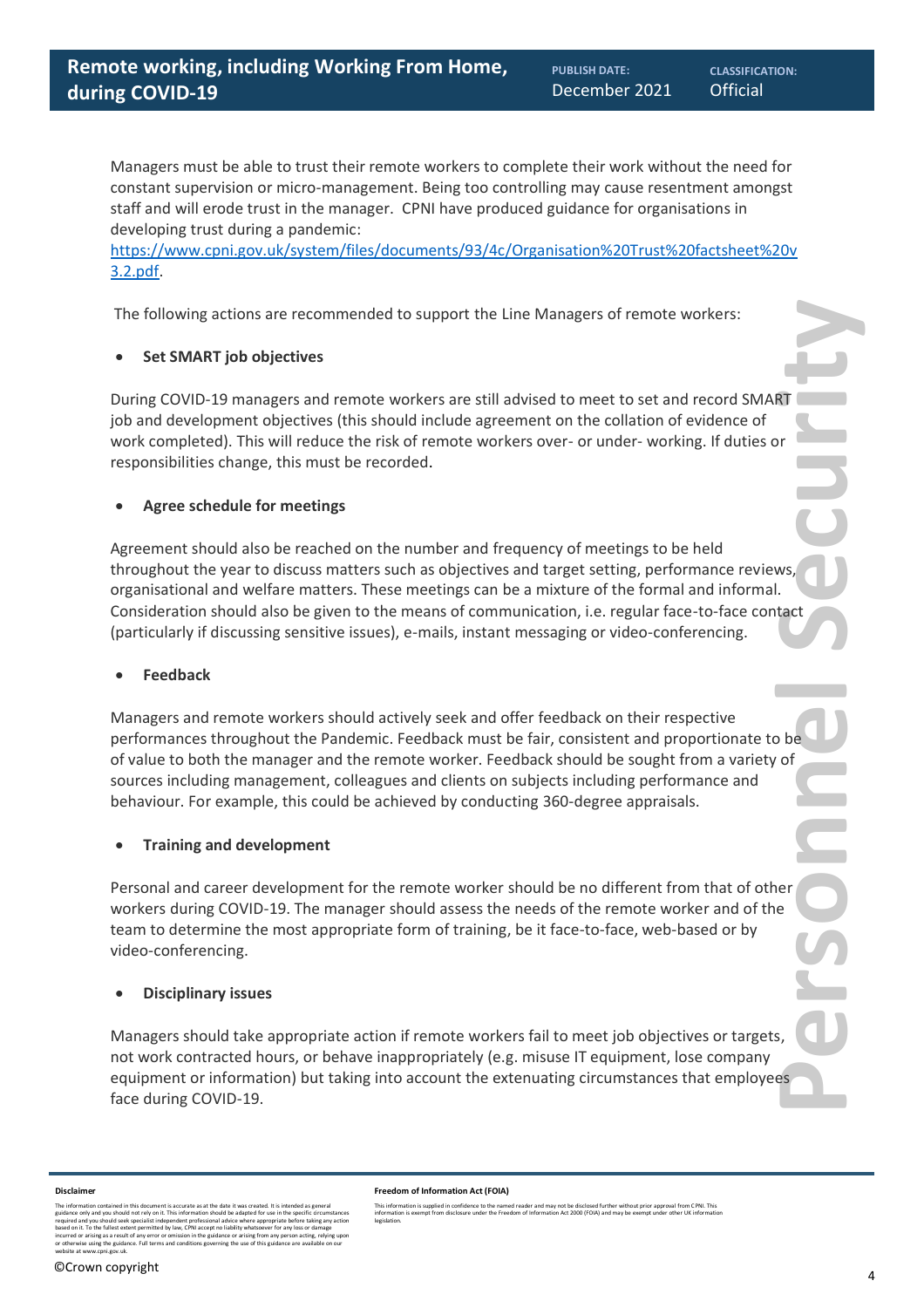Managers must be able to trust their remote workers to complete their work without the need for constant supervision or micro-management. Being too controlling may cause resentment amongst staff and will erode trust in the manager. CPNI have produced guidance for organisations in developing trust during a pandemic:

[https://www.cpni.gov.uk/system/files/documents/93/4c/Organisation%20Trust%20factsheet%20v](https://www.cpni.gov.uk/system/files/documents/93/4c/Organisation%20Trust%20factsheet%20v3.2.pdf) [3.2.pdf.](https://www.cpni.gov.uk/system/files/documents/93/4c/Organisation%20Trust%20factsheet%20v3.2.pdf)

The following actions are recommended to support the Line Managers of remote workers:

### • **Set SMART job objectives**

During COVID-19 managers and remote workers are still advised to meet to set and record SMART job and development objectives (this should include agreement on the collation of evidence of work completed). This will reduce the risk of remote workers over- or under- working. If duties or responsibilities change, this must be recorded.

### • **Agree schedule for meetings**

Agreement should also be reached on the number and frequency of meetings to be held throughout the year to discuss matters such as objectives and target setting, performance reviews, organisational and welfare matters. These meetings can be a mixture of the formal and informal. Consideration should also be given to the means of communication, i.e. regular face-to-face contact (particularly if discussing sensitive issues), e-mails, instant messaging or video-conferencing.

### • **Feedback**

Managers and remote workers should actively seek and offer feedback on their respective performances throughout the Pandemic. Feedback must be fair, consistent and proportionate to be of value to both the manager and the remote worker. Feedback should be sought from a variety of sources including management, colleagues and clients on subjects including performance and behaviour. For example, this could be achieved by conducting 360-degree appraisals.

### • **Training and development**

Personal and career development for the remote worker should be no different from that of other workers during COVID-19. The manager should assess the needs of the remote worker and of the team to determine the most appropriate form of training, be it face-to-face, web-based or by video-conferencing.

### • **Disciplinary issues**

Managers should take appropriate action if remote workers fail to meet job objectives or targets, not work contracted hours, or behave inappropriately (e.g. misuse IT equipment, lose company equipment or information) but taking into account the extenuating circumstances that employees face during COVID-19.

**Freedom of Information Act (FOIA)** 

#### **Disclaimer**

The information contained in this document is accurate as at the date it was created. It is intended as general<br>guidance only and you should not rely on it. This information should be adapted for use in the specific circum incurred or arising as a result of any error or omission in the guidance or arising from any person acting, relying upon<br>or otherwise using the guidance. Full terms and conditions governing the use of this guidance are ava

This information is supplied in confidence to the named reader and may not be disclosed further without prior approval from CPNI. This<br>information is exempt from disclosure under the Freedom of Information Act 2000 (FOIA) legislation.